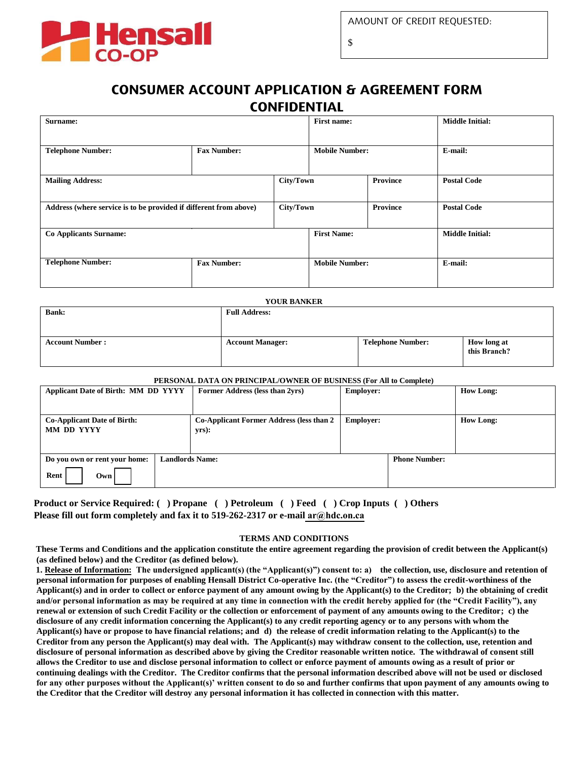

\$

## **CONSUMER ACCOUNT APPLICATION & AGREEMENT FORM CONFIDENTIAL**

| Surname:                                                          |                    | <b>First name:</b> |                       | <b>Middle Initial:</b> |                        |
|-------------------------------------------------------------------|--------------------|--------------------|-----------------------|------------------------|------------------------|
|                                                                   |                    |                    |                       |                        |                        |
| <b>Telephone Number:</b>                                          | <b>Fax Number:</b> |                    | <b>Mobile Number:</b> |                        | E-mail:                |
|                                                                   |                    |                    |                       |                        |                        |
| <b>Mailing Address:</b>                                           | City/Town          |                    | <b>Province</b>       |                        | <b>Postal Code</b>     |
|                                                                   |                    |                    |                       |                        |                        |
| Address (where service is to be provided if different from above) |                    | City/Town          |                       | Province               | <b>Postal Code</b>     |
|                                                                   |                    |                    |                       |                        |                        |
| <b>Co Applicants Surname:</b>                                     |                    |                    | <b>First Name:</b>    |                        | <b>Middle Initial:</b> |
|                                                                   |                    |                    |                       |                        |                        |
| <b>Telephone Number:</b>                                          | <b>Fax Number:</b> |                    | <b>Mobile Number:</b> |                        | E-mail:                |
|                                                                   |                    |                    |                       |                        |                        |

| <b>YOUR BANKER</b>     |                         |                          |                                    |  |
|------------------------|-------------------------|--------------------------|------------------------------------|--|
| <b>Bank:</b>           | <b>Full Address:</b>    |                          |                                    |  |
|                        |                         |                          |                                    |  |
| <b>Account Number:</b> | <b>Account Manager:</b> | <b>Telephone Number:</b> | <b>How long at</b><br>this Branch? |  |

## **PERSONAL DATA ON PRINCIPAL/OWNER OF BUSINESS (For All to Complete)**

| <b>Applicant Date of Birth: MM DD YYYY</b>       |                        | Former Address (less than 2yrs)<br><b>Employer:</b>         |                  |                      | <b>How Long:</b> |
|--------------------------------------------------|------------------------|-------------------------------------------------------------|------------------|----------------------|------------------|
|                                                  |                        |                                                             |                  |                      |                  |
| <b>Co-Applicant Date of Birth:</b><br>MM DD YYYY |                        | <b>Co-Applicant Former Address (less than 2)</b><br>$yrs$ : | <b>Employer:</b> |                      | <b>How Long:</b> |
| Do you own or rent your home:                    | <b>Landlords Name:</b> |                                                             |                  | <b>Phone Number:</b> |                  |
| Rent<br>Own I                                    |                        |                                                             |                  |                      |                  |

**Product or Service Required: ( ) Propane ( ) Petroleum ( ) Feed ( ) Crop Inputs ( ) Others Please fill out form completely and fax it to 519-262-2317 or e-mail [ar@hdc.on.ca](mailto:nfabiano@hdc.on.ca?subject=Consumer Credit Application)**

## **TERMS AND CONDITIONS**

**These Terms and Conditions and the application constitute the entire agreement regarding the provision of credit between the Applicant(s) (as defined below) and the Creditor (as defined below).** 

**1. Release of Information: The undersigned applicant(s) (the "Applicant(s)") consent to: a) the collection, use, disclosure and retention of personal information for purposes of enabling Hensall District Co-operative Inc. (the "Creditor") to assess the credit-worthiness of the Applicant(s) and in order to collect or enforce payment of any amount owing by the Applicant(s) to the Creditor; b) the obtaining of credit and/or personal information as may be required at any time in connection with the credit hereby applied for (the "Credit Facility"), any renewal or extension of such Credit Facility or the collection or enforcement of payment of any amounts owing to the Creditor; c) the disclosure of any credit information concerning the Applicant(s) to any credit reporting agency or to any persons with whom the Applicant(s) have or propose to have financial relations; and d) the release of credit information relating to the Applicant(s) to the Creditor from any person the Applicant(s) may deal with. The Applicant(s) may withdraw consent to the collection, use, retention and disclosure of personal information as described above by giving the Creditor reasonable written notice. The withdrawal of consent still allows the Creditor to use and disclose personal information to collect or enforce payment of amounts owing as a result of prior or continuing dealings with the Creditor. The Creditor confirms that the personal information described above will not be used or disclosed for any other purposes without the Applicant(s)' written consent to do so and further confirms that upon payment of any amounts owing to the Creditor that the Creditor will destroy any personal information it has collected in connection with this matter.**